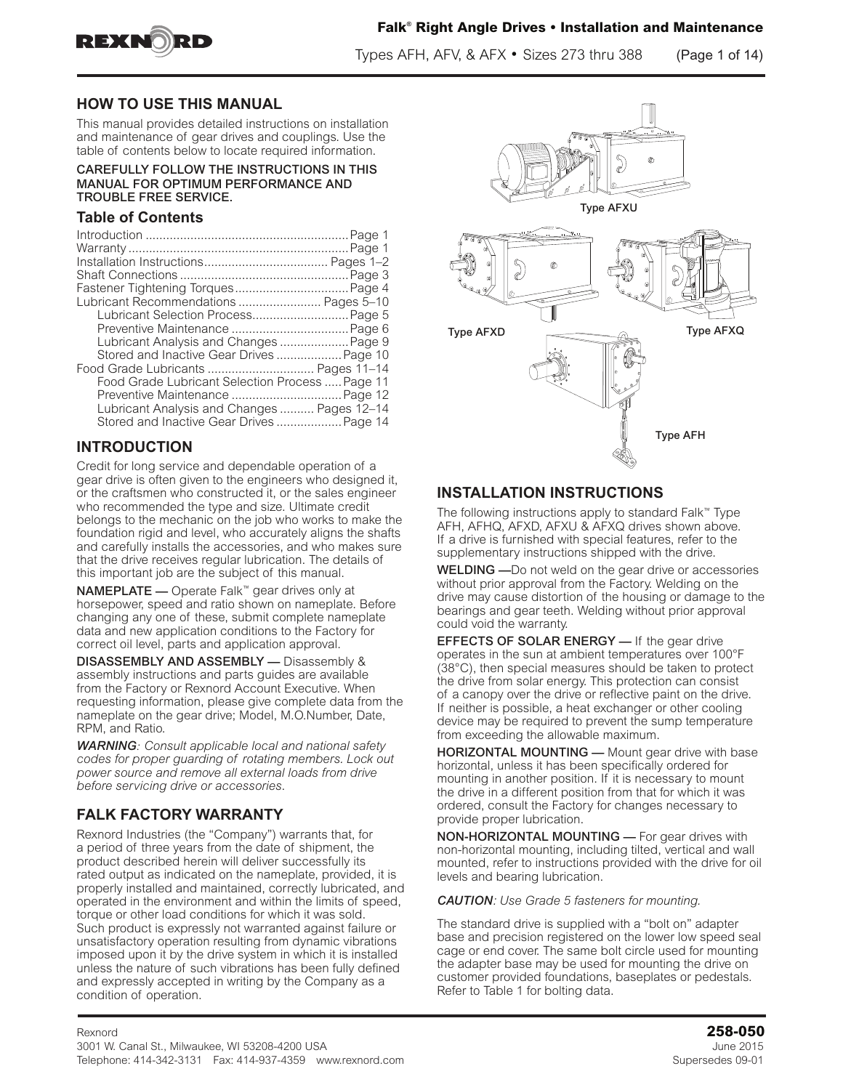

Types AFH, AFV, & AFX • Sizes 273 thru 388 (Page 1 of 14)

### **HOW TO USE THIS MANUAL**

This manual provides detailed instructions on installation and maintenance of gear drives and couplings. Use the table of contents below to locate required information.

#### CAREFULLY FOLLOW THE INSTRUCTIONS IN THIS MANUAL FOR OPTIMUM PERFORMANCE AND TROUBLE FREE SERVICE.

#### **Table of Contents**

| Lubricant Recommendations  Pages 5-10           |  |
|-------------------------------------------------|--|
| Lubricant Selection Process Page 5              |  |
|                                                 |  |
| Lubricant Analysis and Changes  Page 9          |  |
| Stored and Inactive Gear Drives  Page 10        |  |
| Food Grade Lubricants  Pages 11-14              |  |
| Food Grade Lubricant Selection Process  Page 11 |  |
| Preventive Maintenance  Page 12                 |  |
| Lubricant Analysis and Changes Pages 12-14      |  |
| Stored and Inactive Gear Drives  Page 14        |  |

### **INTRODUCTION**

Credit for long service and dependable operation of a gear drive is often given to the engineers who designed it, or the craftsmen who constructed it, or the sales engineer who recommended the type and size. Ultimate credit belongs to the mechanic on the job who works to make the foundation rigid and level, who accurately aligns the shafts and carefully installs the accessories, and who makes sure that the drive receives regular lubrication. The details of this important job are the subject of this manual.

NAMEPLATE — Operate Falk™ gear drives only at horsepower, speed and ratio shown on nameplate. Before changing any one of these, submit complete nameplate data and new application conditions to the Factory for correct oil level, parts and application approval.

DISASSEMBLY AND ASSEMBLY — Disassembly & assembly instructions and parts guides are available from the Factory or Rexnord Account Executive. When requesting information, please give complete data from the nameplate on the gear drive; Model, M.O.Number, Date, RPM, and Ratio.

*WARNING: Consult applicable local and national safety codes for proper guarding of rotating members. Lock out power source and remove all external loads from drive before servicing drive or accessories*.

### **FALK FACTORY WARRANTY**

Rexnord Industries (the "Company") warrants that, for a period of three years from the date of shipment, the product described herein will deliver successfully its rated output as indicated on the nameplate, provided, it is properly installed and maintained, correctly lubricated, and operated in the environment and within the limits of speed, torque or other load conditions for which it was sold. Such product is expressly not warranted against failure or unsatisfactory operation resulting from dynamic vibrations imposed upon it by the drive system in which it is installed unless the nature of such vibrations has been fully defined and expressly accepted in writing by the Company as a condition of operation.



### **INSTALLATION INSTRUCTIONS**

The following instructions apply to standard Falk™ Type AFH, AFHQ, AFXD, AFXU & AFXQ drives shown above. If a drive is furnished with special features, refer to the supplementary instructions shipped with the drive.

WELDING —Do not weld on the gear drive or accessories without prior approval from the Factory. Welding on the drive may cause distortion of the housing or damage to the bearings and gear teeth. Welding without prior approval could void the warranty.

**EFFECTS OF SOLAR ENERGY** - If the gear drive operates in the sun at ambient temperatures over 100°F (38°C), then special measures should be taken to protect the drive from solar energy. This protection can consist of a canopy over the drive or reflective paint on the drive. If neither is possible, a heat exchanger or other cooling device may be required to prevent the sump temperature from exceeding the allowable maximum.

**HORIZONTAL MOUNTING** — Mount gear drive with base horizontal, unless it has been specifically ordered for mounting in another position. If it is necessary to mount the drive in a different position from that for which it was ordered, consult the Factory for changes necessary to provide proper lubrication.

NON-HORIZONTAL MOUNTING — For gear drives with non-horizontal mounting, including tilted, vertical and wall mounted, refer to instructions provided with the drive for oil levels and bearing lubrication.

#### *CAUTION: Use Grade 5 fasteners for mounting.*

The standard drive is supplied with a "bolt on" adapter base and precision registered on the lower low speed seal cage or end cover. The same bolt circle used for mounting the adapter base may be used for mounting the drive on customer provided foundations, baseplates or pedestals. Refer to Table 1 for bolting data.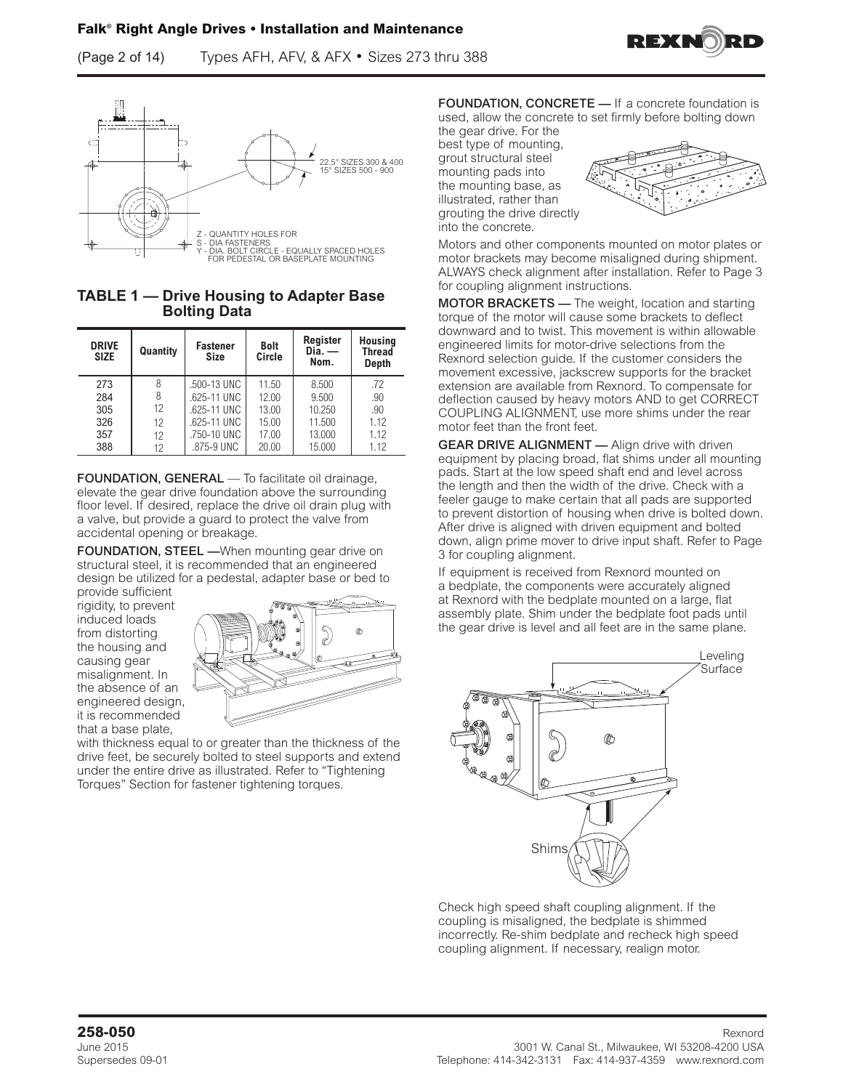(Page 2 of 14) Types AFH, AFV, & AFX • Sizes 273 thru 388



**TABLE 1 — Drive Housing to Adapter Base Bolting Data** 

| <b>DRIVE</b><br><b>SIZE</b> | Quantity | <b>Fastener</b><br><b>Size</b> | <b>Bolt</b><br>Circle | Register<br>$\mathsf{Dia}$ . —<br>Nom. | <b>Housing</b><br><b>Thread</b><br>Depth |
|-----------------------------|----------|--------------------------------|-----------------------|----------------------------------------|------------------------------------------|
| 273                         | 8        | .500-13 UNC                    | 11.50                 | 8.500                                  | .72                                      |
| 284                         | 8        | .625-11 UNC                    | 12.00                 | 9.500                                  | .90                                      |
| 305                         | 12       | .625-11 UNC                    | 13.00                 | 10.250                                 | .90                                      |
| 326                         | 12       | .625-11 UNC                    | 15.00                 | 11.500                                 | 1.12                                     |
| 357                         | 12       | .750-10 UNC                    | 17.00                 | 13.000                                 | 1.12                                     |
| 388                         | 12       | .875-9 UNC                     | 20.00                 | 15.000                                 | 1.12                                     |

FOUNDATION, GENERAL — To facilitate oil drainage, elevate the gear drive foundation above the surrounding floor level. If desired, replace the drive oil drain plug with a valve, but provide a guard to protect the valve from accidental opening or breakage.

FOUNDATION, STEEL - When mounting gear drive on structural steel, it is recommended that an engineered design be utilized for a pedestal, adapter base or bed to

provide sufficient rigidity, to prevent induced loads from distorting the housing and causing gear misalignment. In the absence of an engineered design, it is recommended that a base plate,



with thickness equal to or greater than the thickness of the drive feet, be securely bolted to steel supports and extend under the entire drive as illustrated. Refer to "Tightening Torques" Section for fastener tightening torques.

FOUNDATION, CONCRETE — If a concrete foundation is used, allow the concrete to set firmly before bolting down

the gear drive. For the best type of mounting, grout structural steel mounting pads into the mounting base, as illustrated, rather than grouting the drive directly into the concrete.



REXNO

Motors and other components mounted on motor plates or motor brackets may become misaligned during shipment. ALWAYS check alignment after installation. Refer to Page 3 for coupling alignment instructions.

MOTOR BRACKETS — The weight, location and starting torque of the motor will cause some brackets to deflect downward and to twist. This movement is within allowable engineered limits for motor-drive selections from the Rexnord selection guide. If the customer considers the movement excessive, jackscrew supports for the bracket extension are available from Rexnord. To compensate for deflection caused by heavy motors AND to get CORRECT COUPLING ALIGNMENT, use more shims under the rear motor feet than the front feet.

**GEAR DRIVE ALIGNMENT** - Align drive with driven equipment by placing broad, flat shims under all mounting pads. Start at the low speed shaft end and level across the length and then the width of the drive. Check with a feeler gauge to make certain that all pads are supported to prevent distortion of housing when drive is bolted down. After drive is aligned with driven equipment and bolted down, align prime mover to drive input shaft. Refer to Page 3 for coupling alignment.

If equipment is received from Rexnord mounted on a bedplate, the components were accurately aligned at Rexnord with the bedplate mounted on a large, flat assembly plate. Shim under the bedplate foot pads until the gear drive is level and all feet are in the same plane.



Check high speed shaft coupling alignment. If the coupling is misaligned, the bedplate is shimmed incorrectly. Re-shim bedplate and recheck high speed coupling alignment. If necessary, realign motor.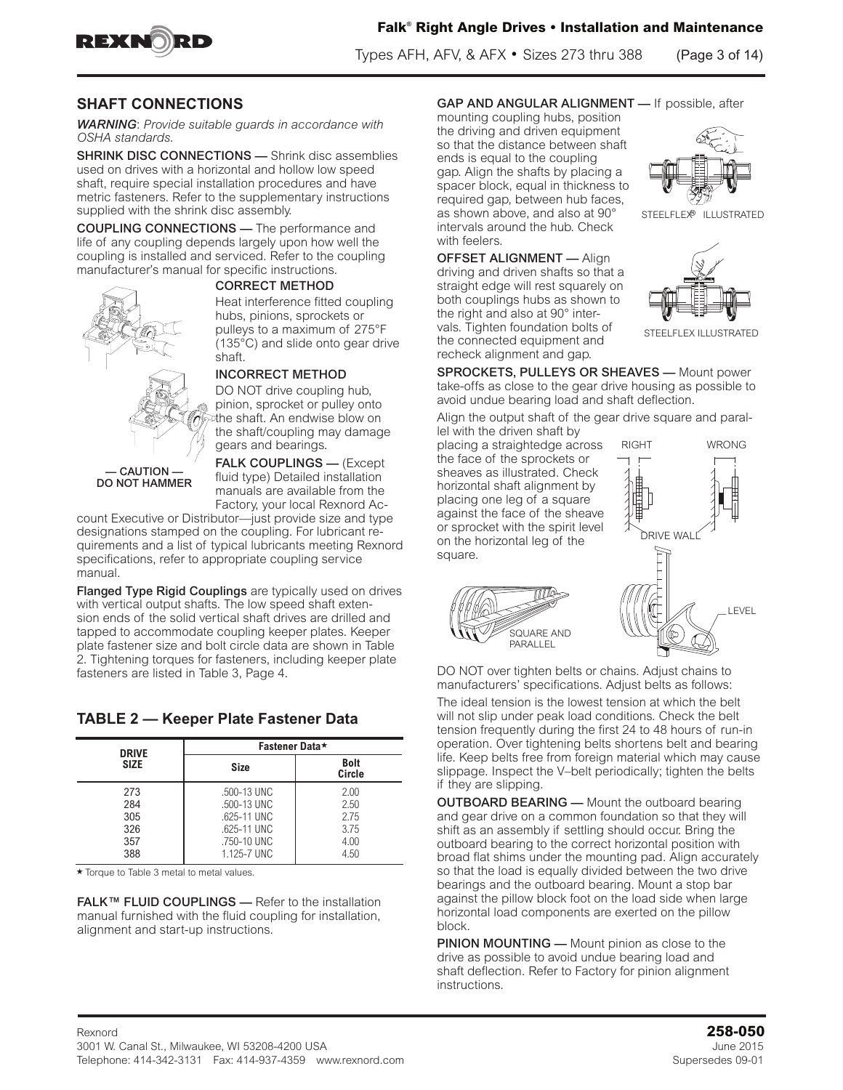

Types AFH, AFV, & AFX • Sizes 273 thru 388 (Page 3 of 14)

#### **SHAFT CONNECTIONS**

*WARNING*: *Provide suitable guards in accordance with OSHA standards.* 

SHRINK DISC CONNECTIONS — Shrink disc assemblies used on drives with a horizontal and hollow low speed shaft, require special installation procedures and have metric fasteners. Refer to the supplementary instructions supplied with the shrink disc assembly.

COUPLING CONNECTIONS — The performance and life of any coupling depends largely upon how well the coupling is installed and serviced. Refer to the coupling manufacturer's manual for specific instructions.



#### CORRECT METHOD

Heat interference fitted coupling hubs, pinions, sprockets or pulleys to a maximum of 275°F (135°C) and slide onto gear drive shaft.



#### INCORRECT METHOD

DO NOT drive coupling hub, pinion, sprocket or pulley onto the shaft. An endwise blow on the shaft/coupling may damage gears and bearings.

— CAUTION — DO NOT HAMMER

FALK COUPLINGS — (Except fluid type) Detailed installation manuals are available from the Factory, your local Rexnord Ac-

count Executive or Distributor—just provide size and type designations stamped on the coupling. For lubricant requirements and a list of typical lubricants meeting Rexnord specifications, refer to appropriate coupling service manual.

Flanged Type Rigid Couplings are typically used on drives with vertical output shafts. The low speed shaft extension ends of the solid vertical shaft drives are drilled and tapped to accommodate coupling keeper plates. Keeper plate fastener size and bolt circle data are shown in Table 2. Tightening torques for fasteners, including keeper plate fasteners are listed in Table 3, Page 4.

### **TABLE 2 — Keeper Plate Fastener Data**

| <b>DRIVE</b> | Fastener Data* |                       |  |  |
|--------------|----------------|-----------------------|--|--|
| <b>SIZE</b>  | <b>Size</b>    | <b>Bolt</b><br>Circle |  |  |
| 273          | .500-13 UNC    | 2.00                  |  |  |
| 284          | .500-13 UNC    | 2.50                  |  |  |
| 305          | .625-11 UNC    | 2.75                  |  |  |
| 326          | .625-11 UNC    | 3.75                  |  |  |
| 357          | .750-10 UNC    | 4.00                  |  |  |
| 388          | 1.125-7 UNC    | 4.50                  |  |  |

 $\star$  Torque to Table 3 metal to metal values.

FALK™ FLUID COUPLINGS — Refer to the installation manual furnished with the fluid coupling for installation, alignment and start-up instructions.

#### GAP AND ANGULAR ALIGNMENT — If possible, after

mounting coupling hubs, position the driving and driven equipment so that the distance between shaft ends is equal to the coupling gap. Align the shafts by placing a spacer block, equal in thickness to required gap, between hub faces, as shown above, and also at 90° intervals around the hub. Check with feelers.

OFFSET ALIGNMENT — Align driving and driven shafts so that a straight edge will rest squarely on both couplings hubs as shown to the right and also at 90° intervals. Tighten foundation bolts of the connected equipment and recheck alignment and gap.



STEELFLEX<sup>®</sup> ILLUSTRATED



STEELELEX ILLUSTRATED

SPROCKETS, PULLEYS OR SHEAVES — Mount power take-offs as close to the gear drive housing as possible to avoid undue bearing load and shaft deflection.

Align the output shaft of the gear drive square and paral-

lel with the driven shaft by placing a straightedge across the face of the sprockets or sheaves as illustrated. Check horizontal shaft alignment by placing one leg of a square against the face of the sheave or sprocket with the spirit level on the horizontal leg of the square.

> .<br>SQUARE AND PARALLEL



DO NOT over tighten belts or chains. Adjust chains to manufacturers' specifications. Adjust belts as follows:

The ideal tension is the lowest tension at which the belt will not slip under peak load conditions. Check the belt tension frequently during the first 24 to 48 hours of run-in operation. Over tightening belts shortens belt and bearing life. Keep belts free from foreign material which may cause slippage. Inspect the V–belt periodically; tighten the belts if they are slipping.

OUTBOARD BEARING — Mount the outboard bearing and gear drive on a common foundation so that they will shift as an assembly if settling should occur. Bring the outboard bearing to the correct horizontal position with broad flat shims under the mounting pad. Align accurately so that the load is equally divided between the two drive bearings and the outboard bearing. Mount a stop bar against the pillow block foot on the load side when large horizontal load components are exerted on the pillow block.

PINION MOUNTING — Mount pinion as close to the drive as possible to avoid undue bearing load and shaft deflection. Refer to Factory for pinion alignment instructions.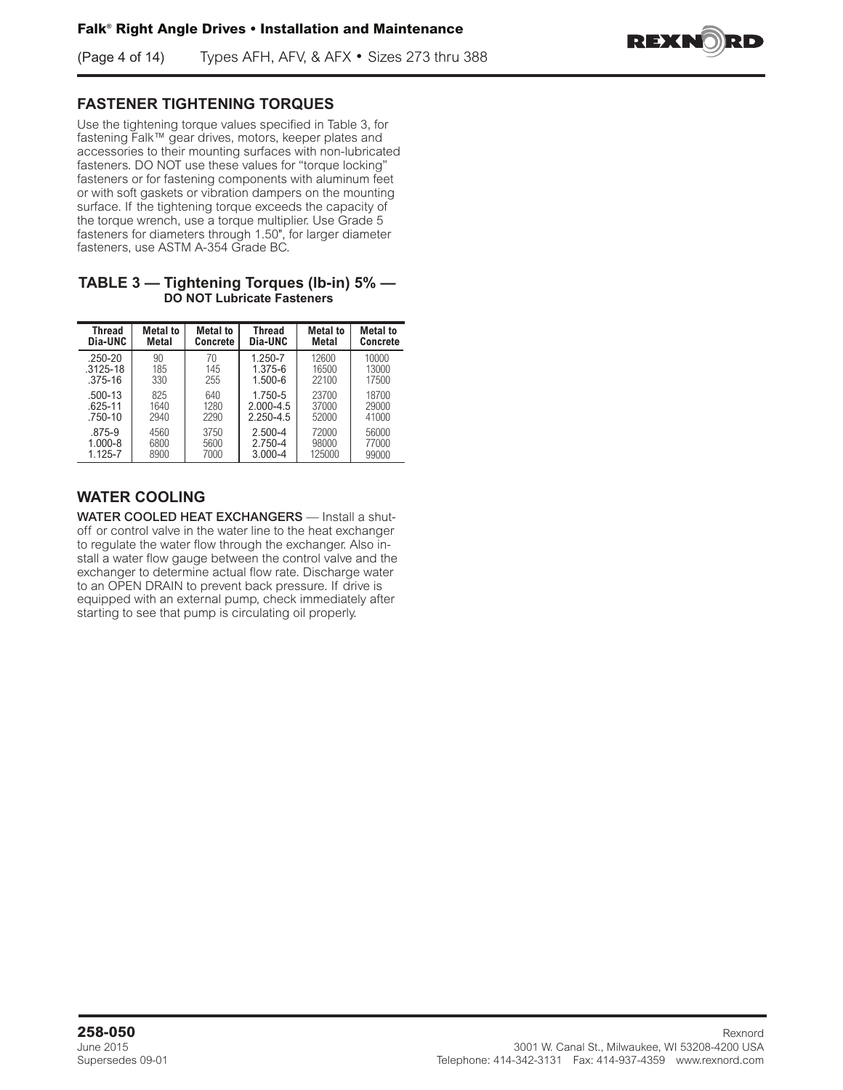(Page 4 of 14) Types AFH, AFV, & AFX • Sizes 273 thru 388



### **FASTENER TIGHTENING TORQUES**

Use the tightening torque values specified in Table 3, for fastening Falk™ gear drives, motors, keeper plates and accessories to their mounting surfaces with non-lubricated fasteners. DO NOT use these values for "torque locking" fasteners or for fastening components with aluminum feet or with soft gaskets or vibration dampers on the mounting surface. If the tightening torque exceeds the capacity of the torque wrench, use a torque multiplier. Use Grade 5 fasteners for diameters through 1.50", for larger diameter fasteners, use ASTM A-354 Grade BC.

#### **TABLE 3 — Tightening Torques (lb-in) 5% — DO NOT Lubricate Fasteners**

| Thread       | <b>Metal</b> to | <b>Metal to</b> | Thread        | <b>Metal</b> to | <b>Metal to</b> |
|--------------|-----------------|-----------------|---------------|-----------------|-----------------|
| Dia-UNC      | <b>Metal</b>    | <b>Concrete</b> | Dia-UNC       | Metal           | Concrete        |
| $.250 - 20$  | 90              | 70              | 1.250-7       | 12600           | 10000           |
| $.3125 - 18$ | 185             | 145             | 1.375-6       | 16500           | 13000           |
| $.375 - 16$  | 330             | 255             | $1.500 - 6$   | 22100           | 17500           |
| .500-13      | 825             | 640             | 1.750-5       | 23700           | 18700           |
| $.625 - 11$  | 1640            | 1280            | $2.000 - 4.5$ | 37000           | 29000           |
| $.750 - 10$  | 2940            | 2290            | 2.250-4.5     | 52000           | 41000           |
| .875-9       | 4560            | 3750            | $2.500 - 4$   | 72000           | 56000           |
| $1.000 - 8$  | 6800            | 5600            | 2.750-4       | 98000           | 77000           |
| 1.125-7      | 8900            | 7000            | $3.000 - 4$   | 125000          | 99000           |

# **WATER COOLING**

WATER COOLED HEAT EXCHANGERS - Install a shutoff or control valve in the water line to the heat exchanger to regulate the water flow through the exchanger. Also install a water flow gauge between the control valve and the exchanger to determine actual flow rate. Discharge water to an OPEN DRAIN to prevent back pressure. If drive is equipped with an external pump, check immediately after starting to see that pump is circulating oil properly.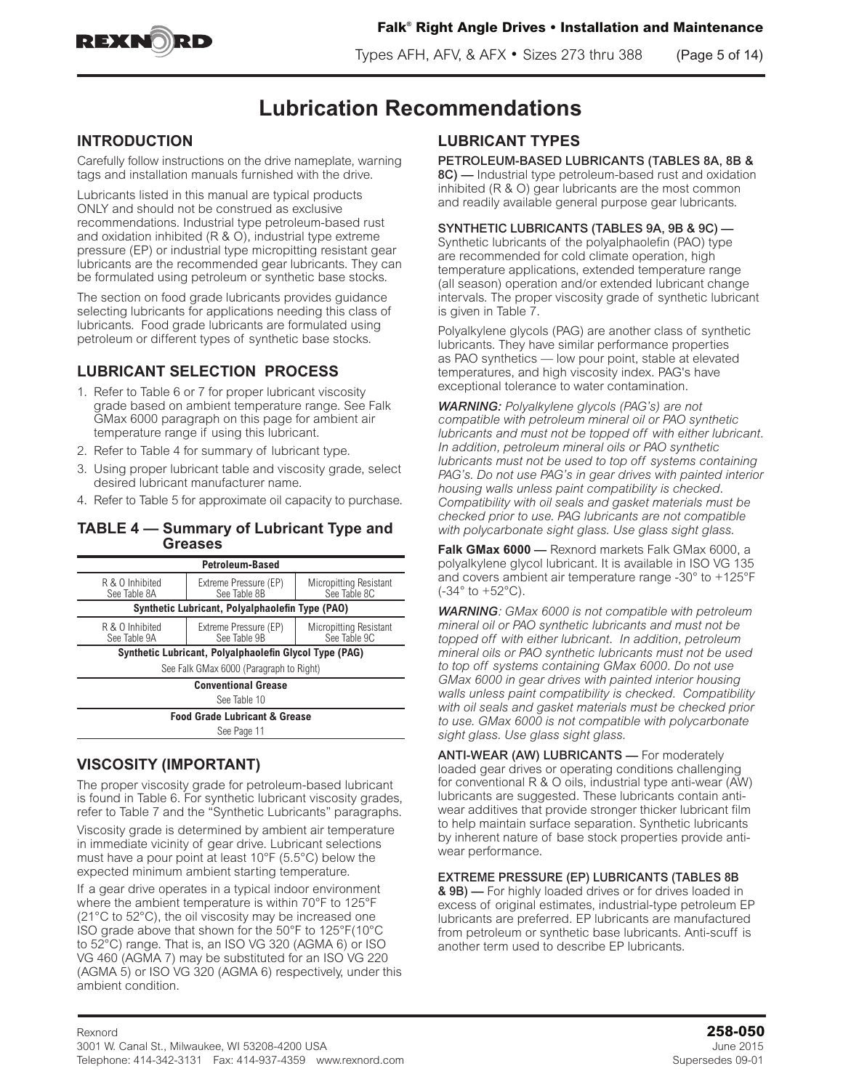

Types AFH, AFV, & AFX • Sizes 273 thru 388 (Page 5 of 14)

# **Lubrication Recommendations**

### **INTRODUCTION**

Carefully follow instructions on the drive nameplate, warning tags and installation manuals furnished with the drive.

Lubricants listed in this manual are typical products ONLY and should not be construed as exclusive recommendations. Industrial type petroleum-based rust and oxidation inhibited (R & O), industrial type extreme pressure (EP) or industrial type micropitting resistant gear lubricants are the recommended gear lubricants. They can be formulated using petroleum or synthetic base stocks.

The section on food grade lubricants provides guidance selecting lubricants for applications needing this class of lubricants. Food grade lubricants are formulated using petroleum or different types of synthetic base stocks.

# **LUBRICANT SELECTION PROCESS**

- 1. Refer to Table 6 or 7 for proper lubricant viscosity grade based on ambient temperature range. See Falk GMax 6000 paragraph on this page for ambient air temperature range if using this lubricant.
- 2. Refer to Table 4 for summary of lubricant type.
- 3. Using proper lubricant table and viscosity grade, select desired lubricant manufacturer name.
- 4. Refer to Table 5 for approximate oil capacity to purchase.

#### **TABLE 4 — Summary of Lubricant Type and Greases**

|                                                                                                                           | <b>Petroleum-Based</b>                                 |                                               |  |  |
|---------------------------------------------------------------------------------------------------------------------------|--------------------------------------------------------|-----------------------------------------------|--|--|
| R & O Inhibited<br>See Table 8A                                                                                           | Extreme Pressure (EP)<br>See Table 8B                  | <b>Micropitting Resistant</b><br>See Table 8C |  |  |
|                                                                                                                           | Synthetic Lubricant, Polyalphaolefin Type (PAO)        |                                               |  |  |
| R & O Inhibited<br>Extreme Pressure (EP)<br><b>Micropitting Resistant</b><br>See Table 9C<br>See Table 9B<br>See Table 9A |                                                        |                                               |  |  |
|                                                                                                                           | Synthetic Lubricant, Polyalphaolefin Glycol Type (PAG) |                                               |  |  |
|                                                                                                                           | See Falk GMax 6000 (Paragraph to Right)                |                                               |  |  |
|                                                                                                                           | <b>Conventional Grease</b>                             |                                               |  |  |
| See Table 10                                                                                                              |                                                        |                                               |  |  |
|                                                                                                                           | <b>Food Grade Lubricant &amp; Grease</b>               |                                               |  |  |
| See Page 11                                                                                                               |                                                        |                                               |  |  |

### **VISCOSITY (IMPORTANT)**

The proper viscosity grade for petroleum-based lubricant is found in Table 6. For synthetic lubricant viscosity grades, refer to Table 7 and the "Synthetic Lubricants" paragraphs.

Viscosity grade is determined by ambient air temperature in immediate vicinity of gear drive. Lubricant selections must have a pour point at least 10°F (5.5°C) below the expected minimum ambient starting temperature.

If a gear drive operates in a typical indoor environment where the ambient temperature is within 70°F to 125°F (21°C to 52°C), the oil viscosity may be increased one ISO grade above that shown for the 50°F to 125°F(10°C to 52°C) range. That is, an ISO VG 320 (AGMA 6) or ISO VG 460 (AGMA 7) may be substituted for an ISO VG 220 (AGMA 5) or ISO VG 320 (AGMA 6) respectively, under this ambient condition.

# **LUBRICANT TYPES**

#### PETROLEUM-BASED LUBRICANTS (TABLES 8A, 8B &

8C) — Industrial type petroleum-based rust and oxidation inhibited (R & O) gear lubricants are the most common and readily available general purpose gear lubricants.

#### SYNTHETIC LUBRICANTS (TABLES 9A, 9B & 9C) —

Synthetic lubricants of the polyalphaolefin (PAO) type are recommended for cold climate operation, high temperature applications, extended temperature range (all season) operation and/or extended lubricant change intervals. The proper viscosity grade of synthetic lubricant is given in Table 7.

Polyalkylene glycols (PAG) are another class of synthetic lubricants. They have similar performance properties as PAO synthetics — low pour point, stable at elevated temperatures, and high viscosity index. PAG's have exceptional tolerance to water contamination.

*WARNING: Polyalkylene glycols (PAG's) are not compatible with petroleum mineral oil or PAO synthetic lubricants and must not be topped off with either lubricant. In addition, petroleum mineral oils or PAO synthetic lubricants must not be used to top off systems containing PAG's. Do not use PAG's in gear drives with painted interior housing walls unless paint compatibility is checked. Compatibility with oil seals and gasket materials must be checked prior to use. PAG lubricants are not compatible with polycarbonate sight glass. Use glass sight glass.*

**Falk GMax 6000** — Rexnord markets Falk GMax 6000, a polyalkylene glycol lubricant. It is available in ISO VG 135 and covers ambient air temperature range -30° to +125°F  $(-34^{\circ}$  to  $+52^{\circ}$ C).

*WARNING: GMax 6000 is not compatible with petroleum mineral oil or PAO synthetic lubricants and must not be topped off with either lubricant. In addition, petroleum mineral oils or PAO synthetic lubricants must not be used to top off systems containing GMax 6000. Do not use GMax 6000 in gear drives with painted interior housing walls unless paint compatibility is checked. Compatibility with oil seals and gasket materials must be checked prior to use. GMax 6000 is not compatible with polycarbonate sight glass. Use glass sight glass.*

ANTI-WEAR (AW) LUBRICANTS - For moderately loaded gear drives or operating conditions challenging for conventional R & O oils, industrial type anti-wear (AW) lubricants are suggested. These lubricants contain antiwear additives that provide stronger thicker lubricant film to help maintain surface separation. Synthetic lubricants by inherent nature of base stock properties provide antiwear performance.

#### EXTREME PRESSURE (EP) LUBRICANTS (TABLES 8B

& 9B) — For highly loaded drives or for drives loaded in excess of original estimates, industrial-type petroleum EP lubricants are preferred. EP lubricants are manufactured from petroleum or synthetic base lubricants. Anti-scuff is another term used to describe EP lubricants.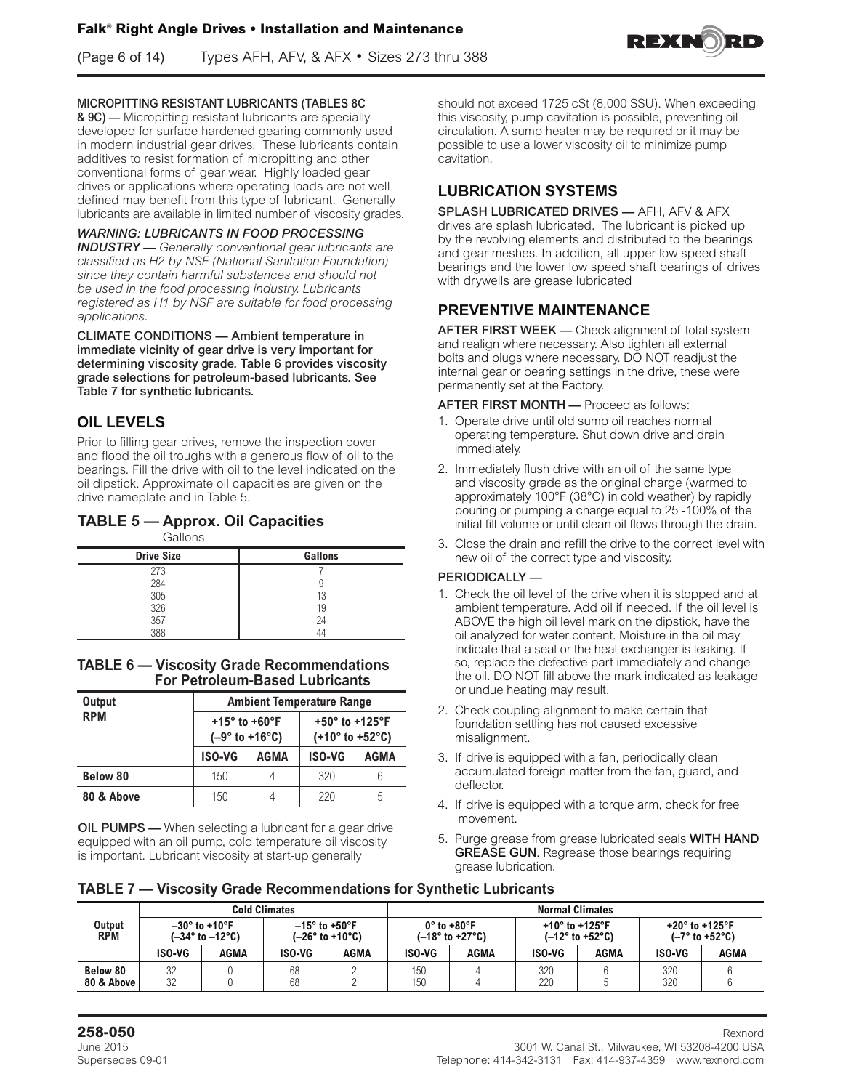(Page 6 of 14) Types AFH, AFV, & AFX • Sizes 273 thru 388



#### MICROPITTING RESISTANT LUBRICANTS (TABLES 8C

& 9C) — Micropitting resistant lubricants are specially developed for surface hardened gearing commonly used in modern industrial gear drives. These lubricants contain additives to resist formation of micropitting and other conventional forms of gear wear. Highly loaded gear drives or applications where operating loads are not well defined may benefit from this type of lubricant. Generally lubricants are available in limited number of viscosity grades.

#### *WARNING: LUBRICANTS IN FOOD PROCESSING*

*INDUSTRY — Generally conventional gear lubricants are classified as H2 by NSF (National Sanitation Foundation) since they contain harmful substances and should not be used in the food processing industry. Lubricants registered as H1 by NSF are suitable for food processing applications.*

CLIMATE CONDITIONS — Ambient temperature in immediate vicinity of gear drive is very important for determining viscosity grade. Table 6 provides viscosity grade selections for petroleum-based lubricants. See Table 7 for synthetic lubricants.

### **OIL LEVELS**

Prior to filling gear drives, remove the inspection cover and flood the oil troughs with a generous flow of oil to the bearings. Fill the drive with oil to the level indicated on the oil dipstick. Approximate oil capacities are given on the drive nameplate and in Table 5.

# **TABLE 5 — Approx. Oil Capacities**

| Gallons           |         |
|-------------------|---------|
| <b>Drive Size</b> | Gallons |
| 273               |         |
| 284               |         |
| 305               | 13      |
| 326               | 19      |
| 357               | 24      |
| 388               | 44      |

**TABLE 6 — Viscosity Grade Recommendations For Petroleum-Based Lubricants**

| Output          |               | <b>Ambient Temperature Range</b>                    |                                                                            |      |  |  |
|-----------------|---------------|-----------------------------------------------------|----------------------------------------------------------------------------|------|--|--|
| <b>RPM</b>      |               | $+15^{\circ}$ to $+60^{\circ}$ F<br>$(-9° to +16°)$ | +50 $^{\circ}$ to +125 $^{\circ}$ F<br>$(+10^{\circ}$ to +52 $^{\circ}$ C) |      |  |  |
|                 | <b>ISO-VG</b> | AGMA                                                | <b>ISO-VG</b>                                                              | AGMA |  |  |
| <b>Below 80</b> | 150           | 4                                                   | 320                                                                        | 6    |  |  |
| 80 & Above      | 150           | 4                                                   | 220                                                                        | 5    |  |  |

**OIL PUMPS** — When selecting a lubricant for a gear drive equipped with an oil pump, cold temperature oil viscosity is important. Lubricant viscosity at start-up generally

should not exceed 1725 cSt (8,000 SSU). When exceeding this viscosity, pump cavitation is possible, preventing oil circulation. A sump heater may be required or it may be possible to use a lower viscosity oil to minimize pump cavitation.

### **LUBRICATION SYSTEMS**

SPLASH LUBRICATED DRIVES — AFH, AFV & AFX drives are splash lubricated. The lubricant is picked up by the revolving elements and distributed to the bearings and gear meshes. In addition, all upper low speed shaft bearings and the lower low speed shaft bearings of drives with drywells are grease lubricated

### **PREVENTIVE MAINTENANCE**

AFTER FIRST WEEK — Check alignment of total system and realign where necessary. Also tighten all external bolts and plugs where necessary. DO NOT readjust the internal gear or bearing settings in the drive, these were permanently set at the Factory.

AFTER FIRST MONTH — Proceed as follows:

- 1. Operate drive until old sump oil reaches normal operating temperature. Shut down drive and drain immediately.
- 2. Immediately flush drive with an oil of the same type and viscosity grade as the original charge (warmed to approximately 100°F (38°C) in cold weather) by rapidly pouring or pumping a charge equal to 25 -100% of the initial fill volume or until clean oil flows through the drain.
- 3. Close the drain and refill the drive to the correct level with new oil of the correct type and viscosity.

#### PERIODICALLY —

- 1. Check the oil level of the drive when it is stopped and at ambient temperature. Add oil if needed. If the oil level is ABOVE the high oil level mark on the dipstick, have the oil analyzed for water content. Moisture in the oil may indicate that a seal or the heat exchanger is leaking. If so, replace the defective part immediately and change the oil. DO NOT fill above the mark indicated as leakage or undue heating may result.
- 2. Check coupling alignment to make certain that foundation settling has not caused excessive misalignment.
- 3. If drive is equipped with a fan, periodically clean accumulated foreign matter from the fan, guard, and deflector.
- 4. If drive is equipped with a torque arm, check for free movement.
- 5. Purge grease from grease lubricated seals WITH HAND GREASE GUN. Regrease those bearings requiring grease lubrication.

| <b>TABLE 7 - Viscosity Grade Recommendations for Synthetic Lubricants</b> |  |  |  |  |
|---------------------------------------------------------------------------|--|--|--|--|
|---------------------------------------------------------------------------|--|--|--|--|

|                        | <b>Cold Climates</b> |                                         |          | <b>Normal Climates</b>                    |            |                                                                    |                                     |                                 |                                     |                                |
|------------------------|----------------------|-----------------------------------------|----------|-------------------------------------------|------------|--------------------------------------------------------------------|-------------------------------------|---------------------------------|-------------------------------------|--------------------------------|
| Output<br><b>RPM</b>   |                      | $-30^\circ$ to +10°F<br>(–34° to –12°C) |          | $-15^\circ$ to +50°F<br>$(-26° to +10°C)$ |            | $0^\circ$ to +80 $^\circ$ F<br>$(-18^{\circ}$ to +27 $^{\circ}$ C) | +10 $^{\circ}$ to +125 $^{\circ}$ F | $(-12^\circ$ to +52 $^\circ$ C) | +20 $^{\circ}$ to +125 $^{\circ}$ F | $(-7^\circ$ to +52 $^\circ$ C) |
|                        | <b>ISO-VG</b>        | AGMA                                    | ISO-VG   | AGMA                                      | ISO-VG     | AGMA                                                               | ISO-VG                              | AGMA                            | <b>ISO-VG</b>                       | AGMA                           |
| Below 80<br>80 & Above | 32<br>32             |                                         | 68<br>68 |                                           | 150<br>150 |                                                                    | 320<br>220                          |                                 | 320<br>320                          |                                |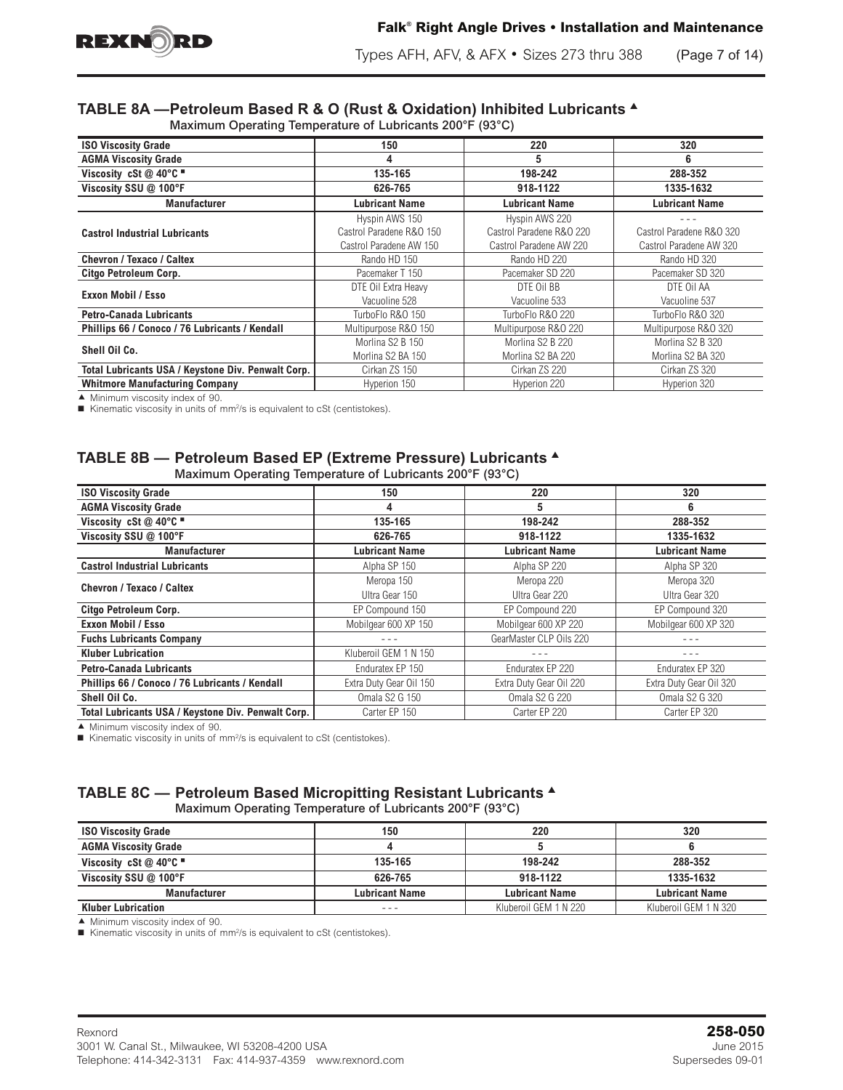

Types AFH, AFV, & AFX • Sizes 273 thru 388 (Page 7 of 14)

# **TABLE 8A —Petroleum Based R & O (Rust & Oxidation) Inhibited Lubricants** <sup>s</sup>

Maximum Operating Temperature of Lubricants 200°F (93°C)

| <b>ISO Viscosity Grade</b>                         | 150                      | 220                      | 320                      |
|----------------------------------------------------|--------------------------|--------------------------|--------------------------|
| <b>AGMA Viscosity Grade</b>                        | 4                        | 5                        | 6                        |
| Viscosity cSt @ 40°C $\blacksquare$                | 135-165                  | 198-242                  | 288-352                  |
| Viscosity SSU @ 100°F                              | 626-765                  | 918-1122                 | 1335-1632                |
| <b>Manufacturer</b>                                | <b>Lubricant Name</b>    | <b>Lubricant Name</b>    | <b>Lubricant Name</b>    |
|                                                    | Hyspin AWS 150           | Hyspin AWS 220           |                          |
| <b>Castrol Industrial Lubricants</b>               | Castrol Paradene R&O 150 | Castrol Paradene R&O 220 | Castrol Paradene R&O 320 |
|                                                    | Castrol Paradene AW 150  | Castrol Paradene AW 220  | Castrol Paradene AW 320  |
| <b>Chevron / Texaco / Caltex</b>                   | Rando HD 150             | Rando HD 220             | Rando HD 320             |
| Citgo Petroleum Corp.                              | Pacemaker T 150          | Pacemaker SD 220         | Pacemaker SD 320         |
|                                                    | DTE Oil Extra Heavy      | DTE Oil BB               | DTE Oil AA               |
| Exxon Mobil / Esso                                 | Vacuoline 528            | Vacuoline 533            | Vacuoline 537            |
| <b>Petro-Canada Lubricants</b>                     | TurboFlo R&O 150         | TurboFlo R&O 220         | TurboFlo R&O 320         |
| Phillips 66 / Conoco / 76 Lubricants / Kendall     | Multipurpose R&O 150     | Multipurpose R&O 220     | Multipurpose R&O 320     |
|                                                    | Morlina S2 B 150         | Morlina S2 B 220         | Morlina S2 B 320         |
| Shell Oil Co.                                      | Morlina S2 BA 150        | Morlina S2 BA 220        | Morlina S2 BA 320        |
| Total Lubricants USA / Keystone Div. Penwalt Corp. | Cirkan ZS 150            | Cirkan ZS 220            | Cirkan ZS 320            |
| <b>Whitmore Manufacturing Company</b>              | Hyperion 150             | Hyperion 220             | Hyperion 320             |

 $\blacktriangle$  Minimum viscosity index of 90.

■ Kinematic viscosity in units of mm<sup>2</sup>/s is equivalent to cSt (centistokes).

#### **TABLE 8B — Petroleum Based EP (Extreme Pressure) Lubricants** <sup>s</sup> Maximum Operating Temperature of Lubricants 200°F (93°C)

| <b>ISO Viscosity Grade</b>                         | 150                     | 220                     | 320                     |
|----------------------------------------------------|-------------------------|-------------------------|-------------------------|
| <b>AGMA Viscosity Grade</b>                        | 4                       | 5                       | 6                       |
| Viscosity cSt @ 40°C "                             | 135-165                 | 198-242                 | 288-352                 |
| Viscosity SSU @ 100°F                              | 626-765                 | 918-1122                | 1335-1632               |
| <b>Manufacturer</b>                                | <b>Lubricant Name</b>   | Lubricant Name          | Lubricant Name          |
| <b>Castrol Industrial Lubricants</b>               | Alpha SP 150            | Alpha SP 220            | Alpha SP 320            |
| Chevron / Texaco / Caltex                          | Meropa 150              | Meropa 220              | Meropa 320              |
|                                                    | Ultra Gear 150          | Ultra Gear 220          | Ultra Gear 320          |
| Citgo Petroleum Corp.                              | EP Compound 150         | EP Compound 220         | EP Compound 320         |
| Exxon Mobil / Esso                                 | Mobilgear 600 XP 150    | Mobilgear 600 XP 220    | Mobilgear 600 XP 320    |
| <b>Fuchs Lubricants Company</b>                    |                         | GearMaster CLP Oils 220 | - - -                   |
| <b>Kluber Lubrication</b>                          | Kluberoil GEM 1 N 150   | $- - -$                 | - - -                   |
| <b>Petro-Canada Lubricants</b>                     | Enduratex EP 150        | Enduratex EP 220        | Enduratex EP 320        |
| Phillips 66 / Conoco / 76 Lubricants / Kendall     | Extra Duty Gear Oil 150 | Extra Duty Gear Oil 220 | Extra Duty Gear Oil 320 |
| Shell Oil Co.                                      | Omala S2 G 150          | <b>Omala S2 G 220</b>   | Omala S2 G 320          |
| Total Lubricants USA / Keystone Div. Penwalt Corp. | Carter EP 150           | Carter EP 220           | Carter EP 320           |

 $\blacktriangle$  Minimum viscosity index of 90.

■ Kinematic viscosity in units of mm<sup>2</sup>/s is equivalent to cSt (centistokes).

### **TABLE 8C — Petroleum Based Micropitting Resistant Lubricants** <sup>s</sup>

Maximum Operating Temperature of Lubricants 200°F (93°C)

| <b>ISO Viscosity Grade</b>               | 150                   | 220                   | 320                   |
|------------------------------------------|-----------------------|-----------------------|-----------------------|
| <b>AGMA Viscosity Grade</b>              |                       |                       |                       |
| Viscosity cSt $@$ 40 $°C$ $\blacksquare$ | 135-165               | 198-242               | 288-352               |
| Viscosity SSU @ 100°F                    | 626-765               | 918-1122              | 1335-1632             |
| <b>Manufacturer</b>                      | <b>Lubricant Name</b> | <b>Lubricant Name</b> | <b>Lubricant Name</b> |
| <b>Kluber Lubrication</b>                |                       | Kluberoil GEM 1 N 220 | Kluberoil GEM 1 N 320 |

 $\blacktriangle$  Minimum viscosity index of 90.

■ Kinematic viscosity in units of mm<sup>2</sup>/s is equivalent to cSt (centistokes).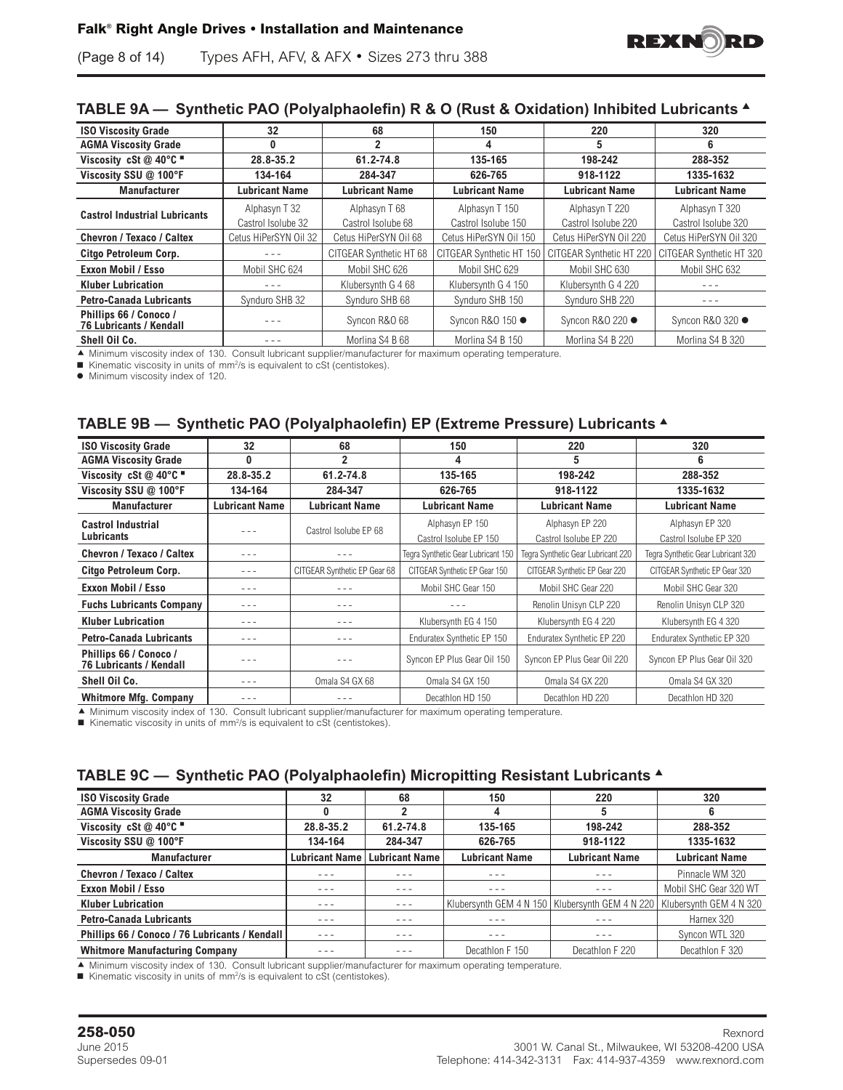

### **TABLE 9A — Synthetic PAO (Polyalphaolefin) R & O (Rust & Oxidation) Inhibited Lubricants** <sup>s</sup>

| <b>ISO Viscosity Grade</b>                               | 32                    | 68                      | 150                      | 220                      | 320                      |
|----------------------------------------------------------|-----------------------|-------------------------|--------------------------|--------------------------|--------------------------|
| <b>AGMA Viscosity Grade</b>                              | 0                     | 2                       | 4                        | 5                        | 6                        |
| Viscosity cSt $@$ 40°C $@$                               | 28.8-35.2             | 61.2-74.8               | 135-165                  | 198-242                  | 288-352                  |
| Viscosity SSU @ 100°F                                    | 134-164               | 284-347                 | 626-765                  | 918-1122                 | 1335-1632                |
| <b>Manufacturer</b>                                      | <b>Lubricant Name</b> | <b>Lubricant Name</b>   | <b>Lubricant Name</b>    | <b>Lubricant Name</b>    | <b>Lubricant Name</b>    |
|                                                          | Alphasyn T 32         | Alphasyn T 68           | Alphasyn T 150           | Alphasyn T 220           | Alphasyn T 320           |
| <b>Castrol Industrial Lubricants</b>                     | Castrol Isolube 32    | Castrol Isolube 68      | Castrol Isolube 150      | Castrol Isolube 220      | Castrol Isolube 320      |
| Chevron / Texaco / Caltex                                | Cetus HiPerSYN Oil 32 | Cetus HiPerSYN Oil 68   | Cetus HiPerSYN Oil 150   | Cetus HiPerSYN Oil 220   | Cetus HiPerSYN Oil 320   |
| Citgo Petroleum Corp.                                    |                       | CITGEAR Synthetic HT 68 | CITGEAR Synthetic HT 150 | CITGEAR Synthetic HT 220 | CITGEAR Synthetic HT 320 |
| <b>Exxon Mobil / Esso</b>                                | Mobil SHC 624         | Mobil SHC 626           | Mobil SHC 629            | Mobil SHC 630            | Mobil SHC 632            |
| <b>Kluber Lubrication</b>                                |                       | Klubersvnth G 468       | Klubersvnth G 4 150      | Klubersvnth G 4 220      |                          |
| <b>Petro-Canada Lubricants</b>                           | Synduro SHB 32        | Synduro SHB 68          | Synduro SHB 150          | Synduro SHB 220          | - - -                    |
| Phillips 66 / Conoco /<br><b>76 Lubricants / Kendall</b> |                       | Syncon R&O 68           | Syncon R&O 150 ●         | Syncon R&O 220 ●         | Syncon R&O 320 ●         |
| Shell Oil Co.                                            |                       | Morlina S4 B 68         | Morlina S4 B 150         | Morlina S4 B 220         | Morlina S4 B 320         |

A Minimum viscosity index of 130. Consult lubricant supplier/manufacturer for maximum operating temperature.

■ Kinematic viscosity in units of mm<sup>2</sup>/s is equivalent to cSt (centistokes).

 $\bullet$  Minimum viscosity index of 120.

### **TABLE 9B — Synthetic PAO (Polyalphaolefin) EP (Extreme Pressure) Lubricants** <sup>s</sup>

| <b>ISO Viscosity Grade</b>                               | 32                     | 68                           | 150                                | 220                                | 320                                |  |
|----------------------------------------------------------|------------------------|------------------------------|------------------------------------|------------------------------------|------------------------------------|--|
| <b>AGMA Viscosity Grade</b>                              | 0                      | 2                            | 4                                  | 5                                  | 6                                  |  |
| Viscosity cSt $@$ 40°C $@$                               | 61.2-74.8<br>28.8-35.2 |                              | 135-165                            | 198-242                            | 288-352                            |  |
| Viscosity SSU @ 100°F                                    | 134-164                | 284-347                      | 626-765                            | 918-1122                           | 1335-1632                          |  |
| <b>Manufacturer</b>                                      | <b>Lubricant Name</b>  | <b>Lubricant Name</b>        | <b>Lubricant Name</b>              | <b>Lubricant Name</b>              | <b>Lubricant Name</b>              |  |
| <b>Castrol Industrial</b>                                |                        | Castrol Isolube EP 68        | Alphasyn EP 150                    | Alphasyn EP 220                    | Alphasyn EP 320                    |  |
| Lubricants                                               |                        |                              | Castrol Isolube EP 150             | Castrol Isolube EP 220             | Castrol Isolube EP 320             |  |
| Chevron / Texaco / Caltex                                | $- - -$                |                              | Tegra Synthetic Gear Lubricant 150 | Tegra Synthetic Gear Lubricant 220 | Tegra Synthetic Gear Lubricant 320 |  |
| Citgo Petroleum Corp.                                    | $- - -$                | CITGEAR Synthetic EP Gear 68 | CITGEAR Synthetic EP Gear 150      | CITGEAR Synthetic EP Gear 220      | CITGEAR Synthetic EP Gear 320      |  |
| Exxon Mobil / Esso                                       | $- - -$                |                              | Mobil SHC Gear 150                 | Mobil SHC Gear 220                 | Mobil SHC Gear 320                 |  |
| <b>Fuchs Lubricants Company</b>                          | $- - -$                |                              |                                    | Renolin Unisyn CLP 220             | Renolin Unisyn CLP 320             |  |
| <b>Kluber Lubrication</b>                                | $- - -$                | $- - -$                      | Klubersynth EG 4 150               | Klubersynth EG 4 220               | Klubersynth EG 4 320               |  |
| <b>Petro-Canada Lubricants</b>                           | - - -                  | - - -                        | Enduratex Synthetic EP 150         | Enduratex Synthetic EP 220         | Enduratex Synthetic EP 320         |  |
| Phillips 66 / Conoco /<br><b>76 Lubricants / Kendall</b> | $- - -$                |                              | Syncon EP Plus Gear Oil 150        | Syncon EP Plus Gear Oil 220        | Syncon EP Plus Gear Oil 320        |  |
| Shell Oil Co.                                            | $- - -$                | Omala S4 GX 68               | Omala S4 GX 150                    | Omala S4 GX 220                    | Omala S4 GX 320                    |  |
| <b>Whitmore Mfg. Company</b>                             |                        |                              | Decathlon HD 150                   | Decathlon HD 220                   | Decathlon HD 320                   |  |

c Minimum viscosity index of 130. Consult lubricant supplier/manufacturer for maximum operating temperature.

■ Kinematic viscosity in units of mm<sup>2</sup>/s is equivalent to cSt (centistokes).

### **TABLE 9C — Synthetic PAO (Polyalphaolefin) Micropitting Resistant Lubricants** <sup>s</sup>

| <b>ISO Viscosity Grade</b>                     | 32                    | 68                    | 150                     | 220                     | 320                     |
|------------------------------------------------|-----------------------|-----------------------|-------------------------|-------------------------|-------------------------|
| <b>AGMA Viscosity Grade</b>                    | Λ                     | 2                     | 4                       |                         | 6                       |
| Viscosity cSt @ 40°C "                         | 28.8-35.2             | 61.2-74.8             | 135-165                 | 198-242                 | 288-352                 |
| Viscosity SSU @ 100°F                          | 134-164               | 284-347               | 626-765                 | 918-1122                | 1335-1632               |
| <b>Manufacturer</b>                            | <b>Lubricant Name</b> | <b>Lubricant Name</b> | <b>Lubricant Name</b>   | <b>Lubricant Name</b>   | <b>Lubricant Name</b>   |
| Chevron / Texaco / Caltex                      | - - -                 |                       | - - -                   | - - -                   | Pinnacle WM 320         |
| <b>Exxon Mobil / Esso</b>                      | $- - -$               | - - -                 | - - -                   | - - -                   | Mobil SHC Gear 320 WT   |
| <b>Kluber Lubrication</b>                      | - - -                 | $- - -$               | Klubersynth GEM 4 N 150 | Klubersvnth GEM 4 N 220 | Klubersynth GEM 4 N 320 |
| <b>Petro-Canada Lubricants</b>                 | $- - -$               | $- - -$               | - - -                   |                         | Harnex 320              |
| Phillips 66 / Conoco / 76 Lubricants / Kendall | $- - -$               | $  -$                 | - - -                   | - - -                   | Syncon WTL 320          |
| <b>Whitmore Manufacturing Company</b>          | - - -                 | $- - -$               | Decathlon F 150         | Decathlon F 220         | Decathlon F 320         |

c Minimum viscosity index of 130. Consult lubricant supplier/manufacturer for maximum operating temperature.

 $\blacksquare$  Kinematic viscosity in units of mm<sup>2</sup>/s is equivalent to cSt (centistokes).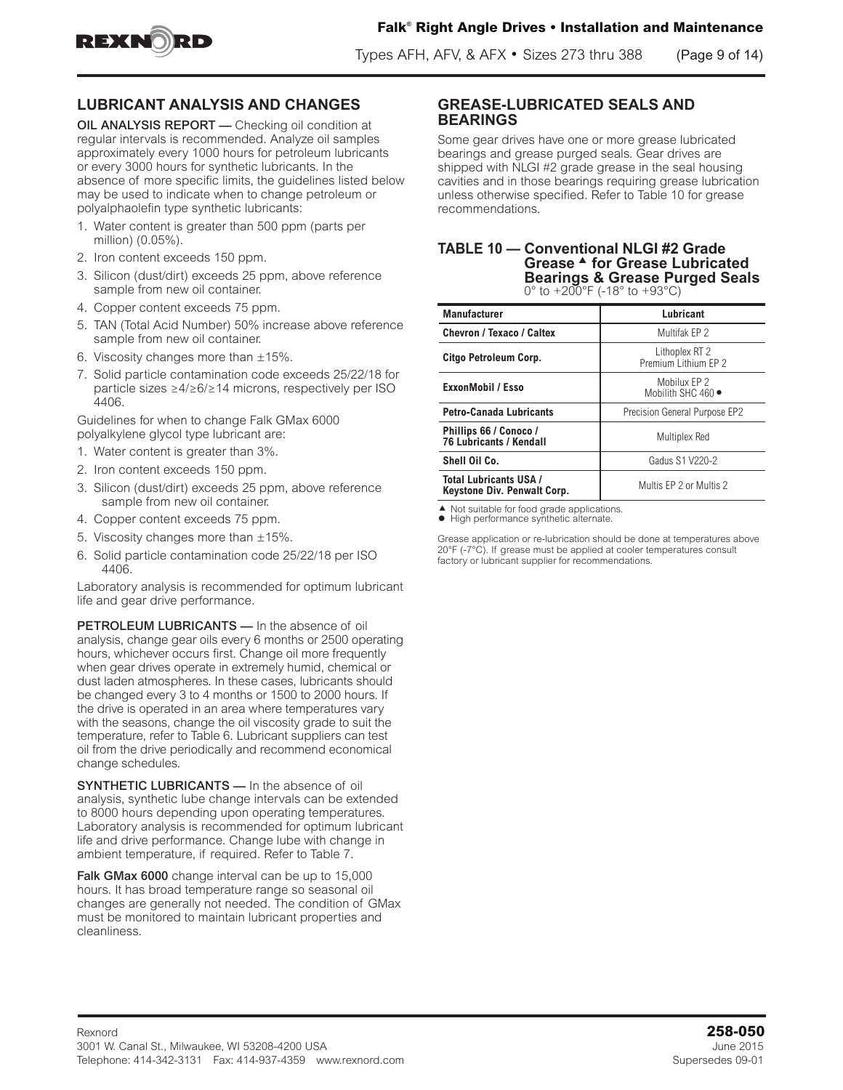

Types AFH, AFV, & AFX • Sizes 273 thru 388 (Page 9 of 14)

### **LUBRICANT ANALYSIS AND CHANGES**

OIL ANALYSIS REPORT — Checking oil condition at regular intervals is recommended. Analyze oil samples approximately every 1000 hours for petroleum lubricants or every 3000 hours for synthetic lubricants. In the absence of more specific limits, the guidelines listed below may be used to indicate when to change petroleum or polyalphaolefin type synthetic lubricants:

- 1. Water content is greater than 500 ppm (parts per million) (0.05%).
- 2. Iron content exceeds 150 ppm.
- 3. Silicon (dust/dirt) exceeds 25 ppm, above reference sample from new oil container.
- 4. Copper content exceeds 75 ppm.
- 5. TAN (Total Acid Number) 50% increase above reference sample from new oil container.
- 6. Viscosity changes more than  $\pm 15\%$ .
- 7. Solid particle contamination code exceeds 25/22/18 for particle sizes ≥4/≥6/≥14 microns, respectively per ISO 4406.

Guidelines for when to change Falk GMax 6000 polyalkylene glycol type lubricant are:

- 1. Water content is greater than 3%.
- 2. Iron content exceeds 150 ppm.
- 3. Silicon (dust/dirt) exceeds 25 ppm, above reference sample from new oil container.
- 4. Copper content exceeds 75 ppm.
- 5. Viscosity changes more than ±15%.
- 6. Solid particle contamination code 25/22/18 per ISO 4406.

Laboratory analysis is recommended for optimum lubricant life and gear drive performance.

PETROLEUM LUBRICANTS - In the absence of oil analysis, change gear oils every 6 months or 2500 operating hours, whichever occurs first. Change oil more frequently when gear drives operate in extremely humid, chemical or dust laden atmospheres. In these cases, lubricants should be changed every 3 to 4 months or 1500 to 2000 hours. If the drive is operated in an area where temperatures vary with the seasons, change the oil viscosity grade to suit the temperature, refer to Table 6. Lubricant suppliers can test oil from the drive periodically and recommend economical change schedules.

SYNTHETIC LUBRICANTS — In the absence of oil analysis, synthetic lube change intervals can be extended to 8000 hours depending upon operating temperatures. Laboratory analysis is recommended for optimum lubricant life and drive performance. Change lube with change in ambient temperature, if required. Refer to Table 7.

Falk GMax 6000 change interval can be up to 15,000 hours. It has broad temperature range so seasonal oil changes are generally not needed. The condition of GMax must be monitored to maintain lubricant properties and cleanliness.

#### **GREASE-LUBRICATED SEALS AND BEARINGS**

Some gear drives have one or more grease lubricated bearings and grease purged seals. Gear drives are shipped with NLGI #2 grade grease in the seal housing cavities and in those bearings requiring grease lubrication unless otherwise specified. Refer to Table 10 for grease recommendations.

#### **TABLE 10 — Conventional NLGI #2 Grade Grease**  $\triangle$  **for Grease Lubricated Bearings & Grease Purged Seals** 0 $\degree$  to  $+200\degree$ F (-18 $\degree$  to  $+93\degree$ C)

| <b>Manufacturer</b>                                          | Lubricant                                  |
|--------------------------------------------------------------|--------------------------------------------|
| <b>Chevron / Texaco / Caltex</b>                             | Multifak EP 2                              |
| Citgo Petroleum Corp.                                        | Lithoplex RT 2<br>Premium Lithium EP 2     |
| ExxonMobil / Esso                                            | Mobilux EP 2<br>Mobilith SHC $460 \bullet$ |
| <b>Petro-Canada Lubricants</b>                               | Precision General Purpose EP2              |
| Phillips 66 / Conoco /<br><b>76 Lubricants / Kendall</b>     | Multiplex Red                              |
| Shell Oil Co.                                                | <b>Gadus S1 V220-2</b>                     |
| <b>Total Lubricants USA /</b><br>Keystone Div. Penwalt Corp. | Multis EP 2 or Multis 2                    |

▲ Not suitable for food grade applications.  $\bullet$  High performance synthetic alternate.

Grease application or re-lubrication should be done at temperatures above 20°F (-7°C). If grease must be applied at cooler temperatures consult factory or lubricant supplier for recommendations.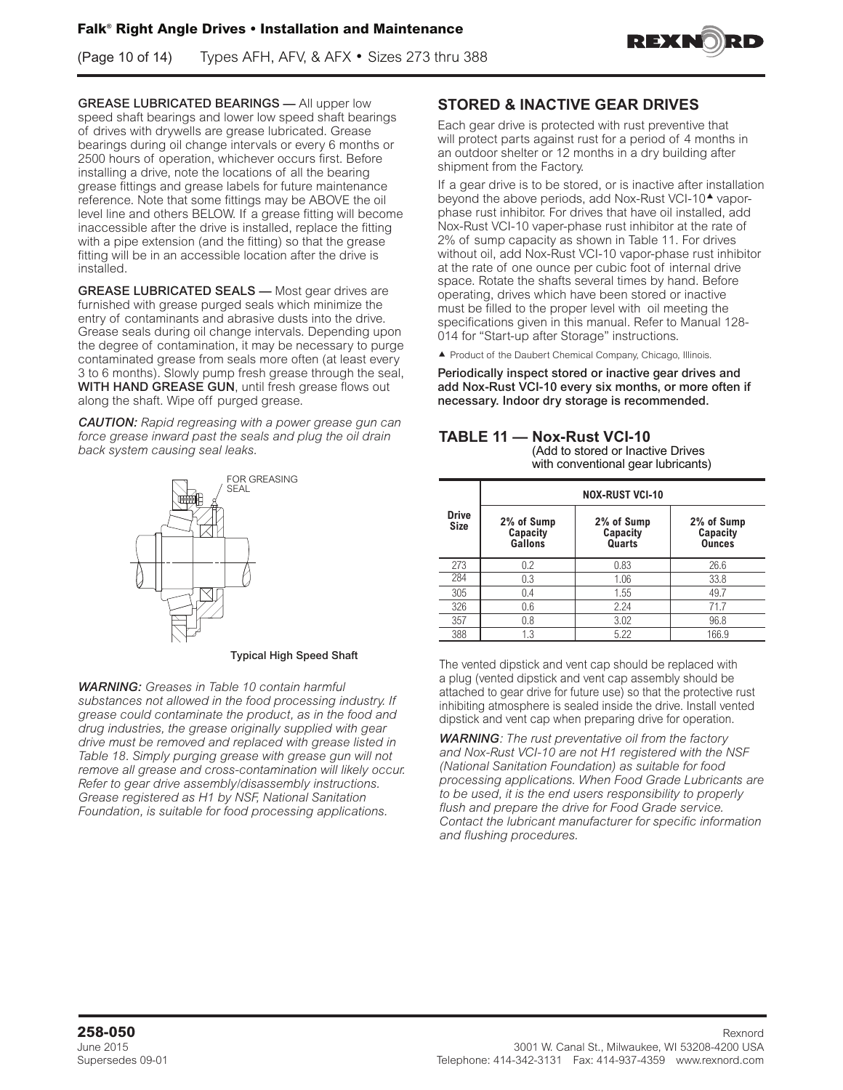(Page 10 of 14) Types AFH, AFV, & AFX • Sizes 273 thru 388



GREASE LUBRICATED BEARINGS — All upper low speed shaft bearings and lower low speed shaft bearings of drives with drywells are grease lubricated. Grease bearings during oil change intervals or every 6 months or 2500 hours of operation, whichever occurs first. Before installing a drive, note the locations of all the bearing grease fittings and grease labels for future maintenance reference. Note that some fittings may be ABOVE the oil level line and others BELOW. If a grease fitting will become inaccessible after the drive is installed, replace the fitting with a pipe extension (and the fitting) so that the grease fitting will be in an accessible location after the drive is installed.

GREASE LUBRICATED SEALS - Most gear drives are furnished with grease purged seals which minimize the entry of contaminants and abrasive dusts into the drive. Grease seals during oil change intervals. Depending upon the degree of contamination, it may be necessary to purge contaminated grease from seals more often (at least every 3 to 6 months). Slowly pump fresh grease through the seal, WITH HAND GREASE GUN, until fresh grease flows out along the shaft. Wipe off purged grease.

*CAUTION: Rapid regreasing with a power grease gun can force grease inward past the seals and plug the oil drain back system causing seal leaks.*



#### Typical High Speed Shaft

*WARNING: Greases in Table 10 contain harmful substances not allowed in the food processing industry. If grease could contaminate the product, as in the food and drug industries, the grease originally supplied with gear drive must be removed and replaced with grease listed in Table 18. Simply purging grease with grease gun will not remove all grease and cross-contamination will likely occur. Refer to gear drive assembly/disassembly instructions. Grease registered as H1 by NSF, National Sanitation Foundation, is suitable for food processing applications.*

### **STORED & INACTIVE GEAR DRIVES**

Each gear drive is protected with rust preventive that will protect parts against rust for a period of 4 months in an outdoor shelter or 12 months in a dry building after shipment from the Factory.

If a gear drive is to be stored, or is inactive after installation beyond the above periods, add Nox-Rust VCI-10<sup>4</sup> vaporphase rust inhibitor. For drives that have oil installed, add Nox-Rust VCI-10 vaper-phase rust inhibitor at the rate of 2% of sump capacity as shown in Table 11. For drives without oil, add Nox-Rust VCI-10 vapor-phase rust inhibitor at the rate of one ounce per cubic foot of internal drive space. Rotate the shafts several times by hand. Before operating, drives which have been stored or inactive must be filled to the proper level with oil meeting the specifications given in this manual. Refer to Manual 128- 014 for "Start-up after Storage" instructions.

▲ Product of the Daubert Chemical Company, Chicago, Illinois.

Periodically inspect stored or inactive gear drives and add Nox-Rust VCI-10 every six months, or more often if necessary. Indoor dry storage is recommended.

### **TABLE 11 — Nox-Rust VCI-10**

(Add to stored or Inactive Drives with conventional gear lubricants)

|                             | <b>NOX-RUST VCI-10</b>            |                                  |                                         |  |  |  |  |
|-----------------------------|-----------------------------------|----------------------------------|-----------------------------------------|--|--|--|--|
| <b>Drive</b><br><b>Size</b> | 2% of Sump<br>Capacity<br>Gallons | 2% of Sump<br>Capacity<br>Quarts | 2% of Sump<br>Capacity<br><b>Ounces</b> |  |  |  |  |
| 273                         | 0.2                               | 0.83                             | 26.6                                    |  |  |  |  |
| 284                         | 0.3                               | 1.06                             | 33.8                                    |  |  |  |  |
| 305                         | 0.4                               | 1.55                             | 49.7                                    |  |  |  |  |
| 326                         | 0.6                               | 2.24                             | 71.7                                    |  |  |  |  |
| 357                         | 0.8                               | 3.02                             | 96.8                                    |  |  |  |  |
| 388                         | 1.3                               | 5.22                             | 166.9                                   |  |  |  |  |

The vented dipstick and vent cap should be replaced with a plug (vented dipstick and vent cap assembly should be attached to gear drive for future use) so that the protective rust inhibiting atmosphere is sealed inside the drive. Install vented dipstick and vent cap when preparing drive for operation.

*WARNING: The rust preventative oil from the factory and Nox-Rust VCI-10 are not H1 registered with the NSF (National Sanitation Foundation) as suitable for food processing applications. When Food Grade Lubricants are to be used, it is the end users responsibility to properly flush and prepare the drive for Food Grade service. Contact the lubricant manufacturer for specific information and flushing procedures.*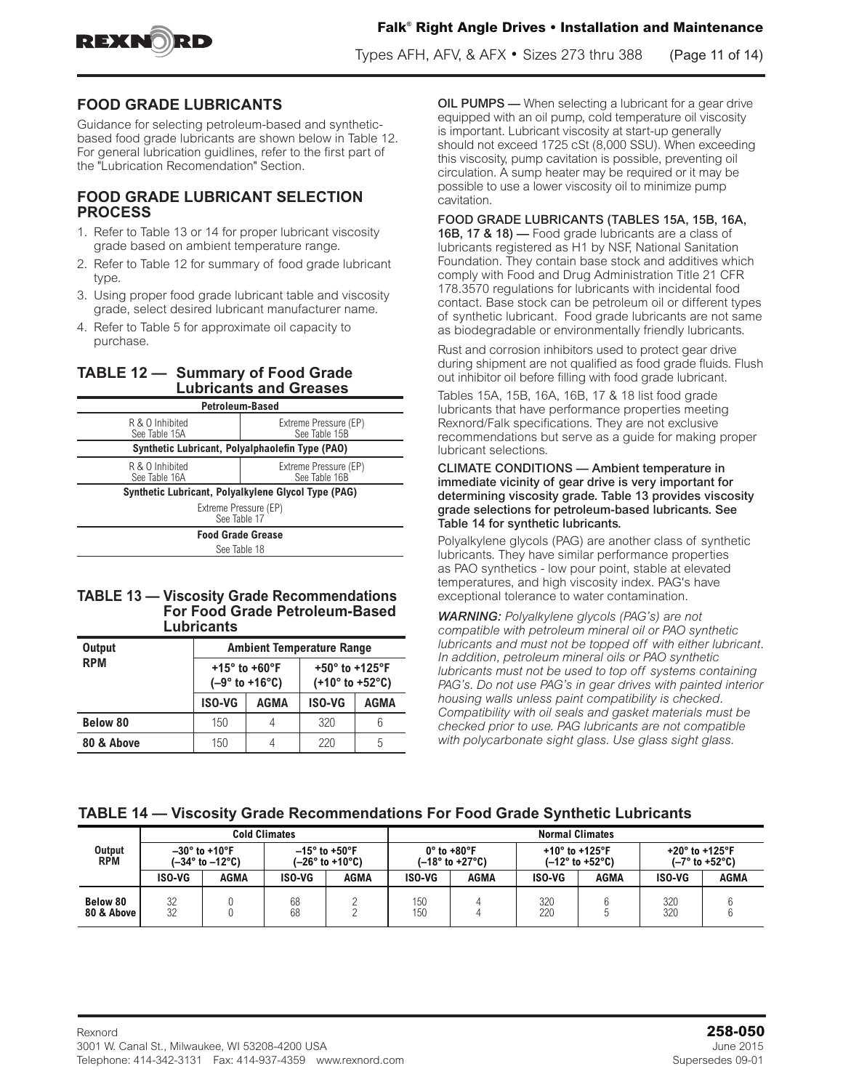



Types AFH, AFV, & AFX • Sizes 273 thru 388 (Page 11 of 14)

### **FOOD GRADE LUBRICANTS**

Guidance for selecting petroleum-based and syntheticbased food grade lubricants are shown below in Table 12. For general lubrication guidlines, refer to the first part of the "Lubrication Recomendation" Section.

#### **FOOD GRADE LUBRICANT SELECTION PROCESS**

- 1. Refer to Table 13 or 14 for proper lubricant viscosity grade based on ambient temperature range.
- 2. Refer to Table 12 for summary of food grade lubricant type.
- 3. Using proper food grade lubricant table and viscosity grade, select desired lubricant manufacturer name.
- 4. Refer to Table 5 for approximate oil capacity to purchase.

### **TABLE 12 — Summary of Food Grade Lubricants and Greases**

| Petroleum-Based                                 |                                                     |  |  |  |
|-------------------------------------------------|-----------------------------------------------------|--|--|--|
| R & O Inhibited<br>See Table 15A                | Extreme Pressure (EP)<br>See Table 15B              |  |  |  |
| Synthetic Lubricant, Polyalphaolefin Type (PAO) |                                                     |  |  |  |
| R & O Inhibited<br>See Table 16A                | Extreme Pressure (EP)<br>See Table 16B              |  |  |  |
|                                                 | Synthetic Lubricant, Polyalkylene Glycol Type (PAG) |  |  |  |
| Extreme Pressure (EP)<br>See Table 17           |                                                     |  |  |  |
| <b>Food Grade Grease</b>                        |                                                     |  |  |  |
| See Table 18                                    |                                                     |  |  |  |

#### **TABLE 13 — Viscosity Grade Recommendations For Food Grade Petroleum-Based Lubricants**

| <b>Output</b>   | <b>Ambient Temperature Range</b> |                                                        |                                                                            |             |  |  |  |
|-----------------|----------------------------------|--------------------------------------------------------|----------------------------------------------------------------------------|-------------|--|--|--|
| <b>RPM</b>      |                                  | +15 $^{\circ}$ to +60 $^{\circ}$ F<br>$(-9° to +16°C)$ | +50 $^{\circ}$ to +125 $^{\circ}$ F<br>$(+10^{\circ}$ to +52 $^{\circ}$ C) |             |  |  |  |
|                 | <b>ISO-VG</b>                    | <b>AGMA</b>                                            | <b>ISO-VG</b>                                                              | <b>AGMA</b> |  |  |  |
| <b>Below 80</b> | 150                              | 4                                                      | 320                                                                        |             |  |  |  |
| 80 & Above      | 150                              |                                                        | 220                                                                        | 5           |  |  |  |

OIL PUMPS - When selecting a lubricant for a gear drive equipped with an oil pump, cold temperature oil viscosity is important. Lubricant viscosity at start-up generally should not exceed 1725 cSt (8,000 SSU). When exceeding this viscosity, pump cavitation is possible, preventing oil circulation. A sump heater may be required or it may be possible to use a lower viscosity oil to minimize pump cavitation.

#### FOOD GRADE LUBRICANTS (TABLES 15A, 15B, 16A,

16B, 17 & 18) — Food grade lubricants are a class of lubricants registered as H1 by NSF, National Sanitation Foundation. They contain base stock and additives which comply with Food and Drug Administration Title 21 CFR 178.3570 regulations for lubricants with incidental food contact. Base stock can be petroleum oil or different types of synthetic lubricant. Food grade lubricants are not same as biodegradable or environmentally friendly lubricants.

Rust and corrosion inhibitors used to protect gear drive during shipment are not qualified as food grade fluids. Flush out inhibitor oil before filling with food grade lubricant.

Tables 15A, 15B, 16A, 16B, 17 & 18 list food grade lubricants that have performance properties meeting Rexnord/Falk specifications. They are not exclusive recommendations but serve as a guide for making proper lubricant selections.

CLIMATE CONDITIONS — Ambient temperature in immediate vicinity of gear drive is very important for determining viscosity grade. Table 13 provides viscosity grade selections for petroleum-based lubricants. See Table 14 for synthetic lubricants.

Polyalkylene glycols (PAG) are another class of synthetic lubricants. They have similar performance properties as PAO synthetics - low pour point, stable at elevated temperatures, and high viscosity index. PAG's have exceptional tolerance to water contamination.

*WARNING: Polyalkylene glycols (PAG's) are not compatible with petroleum mineral oil or PAO synthetic lubricants and must not be topped off with either lubricant. In addition, petroleum mineral oils or PAO synthetic lubricants must not be used to top off systems containing PAG's. Do not use PAG's in gear drives with painted interior housing walls unless paint compatibility is checked. Compatibility with oil seals and gasket materials must be checked prior to use. PAG lubricants are not compatible with polycarbonate sight glass. Use glass sight glass.*

|  | TABLE 14 - Viscosity Grade Recommendations For Food Grade Synthetic Lubricants |  |
|--|--------------------------------------------------------------------------------|--|
|--|--------------------------------------------------------------------------------|--|

|                        |          |                                                            | <b>Cold Climates</b> |                  |            |                                                                    |                                     | <b>Normal Climates</b>              |                                     |                                |  |
|------------------------|----------|------------------------------------------------------------|----------------------|------------------|------------|--------------------------------------------------------------------|-------------------------------------|-------------------------------------|-------------------------------------|--------------------------------|--|
| Output<br><b>RPM</b>   |          | $-30^\circ$ to +10°F<br>$(-34^{\circ}$ to $-12^{\circ}$ C) | $-15^\circ$ to +50°F | (–26° to +10°C). |            | $0^\circ$ to +80 $^\circ$ F<br>$(-18^{\circ}$ to +27 $^{\circ}$ C) | +10 $^{\circ}$ to +125 $^{\circ}$ F | $(-12^{\circ}$ to +52 $^{\circ}$ C) | +20 $^{\circ}$ to +125 $^{\circ}$ F | $(-7^\circ$ to +52 $^\circ$ C) |  |
|                        | ISO-VG   | AGMA                                                       | ISO-VG               | AGMA             | ISO-VG     | AGMA                                                               | ISO-VG                              | AGMA                                | ISO-VG                              | AGMA                           |  |
| Below 80<br>80 & Above | 32<br>32 |                                                            | 68<br>68             |                  | 150<br>150 |                                                                    | 320<br>220                          |                                     | 320<br>320                          |                                |  |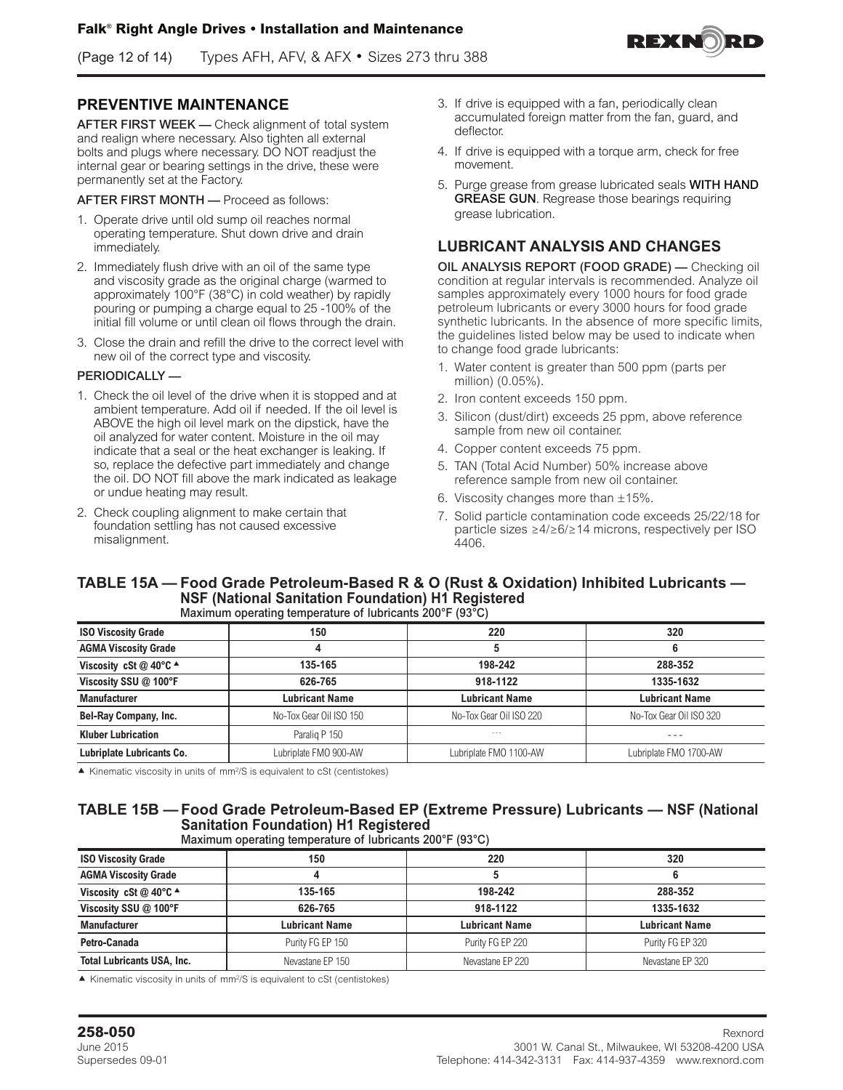(Page 12 of 14) Types AFH, AFV, & AFX • Sizes 273 thru 388

### **PREVENTIVE MAINTENANCE**

AFTER FIRST WEEK - Check alignment of total system and realign where necessary. Also tighten all external bolts and plugs where necessary. DO NOT readjust the internal gear or bearing settings in the drive, these were permanently set at the Factory.

AFTER FIRST MONTH — Proceed as follows:

- 1. Operate drive until old sump oil reaches normal operating temperature. Shut down drive and drain immediately.
- 2. Immediately flush drive with an oil of the same type and viscosity grade as the original charge (warmed to approximately 100°F (38°C) in cold weather) by rapidly pouring or pumping a charge equal to 25 -100% of the initial fill volume or until clean oil flows through the drain.
- 3. Close the drain and refill the drive to the correct level with new oil of the correct type and viscosity.

#### PERIODICALLY —

- 1. Check the oil level of the drive when it is stopped and at ambient temperature. Add oil if needed. If the oil level is ABOVE the high oil level mark on the dipstick, have the oil analyzed for water content. Moisture in the oil may indicate that a seal or the heat exchanger is leaking. If so, replace the defective part immediately and change the oil. DO NOT fill above the mark indicated as leakage or undue heating may result.
- 2. Check coupling alignment to make certain that foundation settling has not caused excessive misalignment.
- 3. If drive is equipped with a fan, periodically clean accumulated foreign matter from the fan, guard, and deflector.
- 4. If drive is equipped with a torque arm, check for free movement.
- 5. Purge grease from grease lubricated seals WITH HAND GREASE GUN. Regrease those bearings requiring grease lubrication.

### **LUBRICANT ANALYSIS AND CHANGES**

OIL ANALYSIS REPORT (FOOD GRADE) — Checking oil condition at regular intervals is recommended. Analyze oil samples approximately every 1000 hours for food grade petroleum lubricants or every 3000 hours for food grade synthetic lubricants. In the absence of more specific limits, the guidelines listed below may be used to indicate when to change food grade lubricants:

- 1. Water content is greater than 500 ppm (parts per million) (0.05%).
- 2. Iron content exceeds 150 ppm.
- 3. Silicon (dust/dirt) exceeds 25 ppm, above reference sample from new oil container.
- 4. Copper content exceeds 75 ppm.
- 5. TAN (Total Acid Number) 50% increase above reference sample from new oil container.
- 6. Viscosity changes more than  $\pm 15\%$ .
- 7. Solid particle contamination code exceeds 25/22/18 for particle sizes ≥4/≥6/≥14 microns, respectively per ISO 4406.

#### **TABLE 15A — Food Grade Petroleum-Based R & O (Rust & Oxidation) Inhibited Lubricants — NSF (National Sanitation Foundation) H1 Registered** Maximum operating temperature of lubricants 200°F (93°C)

|                                            | ີ                       |                         |                         |
|--------------------------------------------|-------------------------|-------------------------|-------------------------|
| <b>ISO Viscosity Grade</b>                 | 150                     | 220                     | 320                     |
| <b>AGMA Viscosity Grade</b>                |                         |                         |                         |
| Viscosity cSt @ 40 $\degree$ C $\triangle$ | 135-165                 | 198-242                 | 288-352                 |
| Viscosity SSU @ 100°F                      | 626-765                 | 918-1122                | 1335-1632               |
| <b>Manufacturer</b>                        | <b>Lubricant Name</b>   | <b>Lubricant Name</b>   | <b>Lubricant Name</b>   |
| <b>Bel-Ray Company, Inc.</b>               | No-Tox Gear Oil ISO 150 | No-Tox Gear Oil ISO 220 | No-Tox Gear Oil ISO 320 |
| <b>Kluber Lubrication</b>                  | Paralig P 150           | $- - -$                 |                         |
| Lubriplate Lubricants Co.                  | Lubriplate FMO 900-AW   | Lubriplate FMO 1100-AW  | Lubriplate FMO 1700-AW  |

 $\blacktriangle$  Kinematic viscosity in units of mm<sup>2</sup>/S is equivalent to cSt (centistokes)

### **TABLE 15B — Food Grade Petroleum-Based EP (Extreme Pressure) Lubricants — NSF (National Sanitation Foundation) H1 Registered**

Maximum operating temperature of lubricants 200°F (93°C)

| <b>ISO Viscosity Grade</b>                 | 150                   | 220                   | 320                   |
|--------------------------------------------|-----------------------|-----------------------|-----------------------|
| <b>AGMA Viscosity Grade</b>                |                       |                       |                       |
| Viscosity cSt @ 40 $\degree$ C $\triangle$ | 135-165               | 198-242               | 288-352               |
| Viscosity SSU @ 100°F                      | 626-765               | 918-1122              | 1335-1632             |
| <b>Manufacturer</b>                        | <b>Lubricant Name</b> | <b>Lubricant Name</b> | <b>Lubricant Name</b> |
| Petro-Canada                               | Purity FG EP 150      | Purity FG EP 220      | Purity FG EP 320      |
| <b>Total Lubricants USA, Inc.</b>          | Nevastane EP 150      | Nevastane EP 220      | Nevastane EP 320      |

 $\blacktriangle$  Kinematic viscosity in units of mm<sup>2</sup>/S is equivalent to cSt (centistokes)

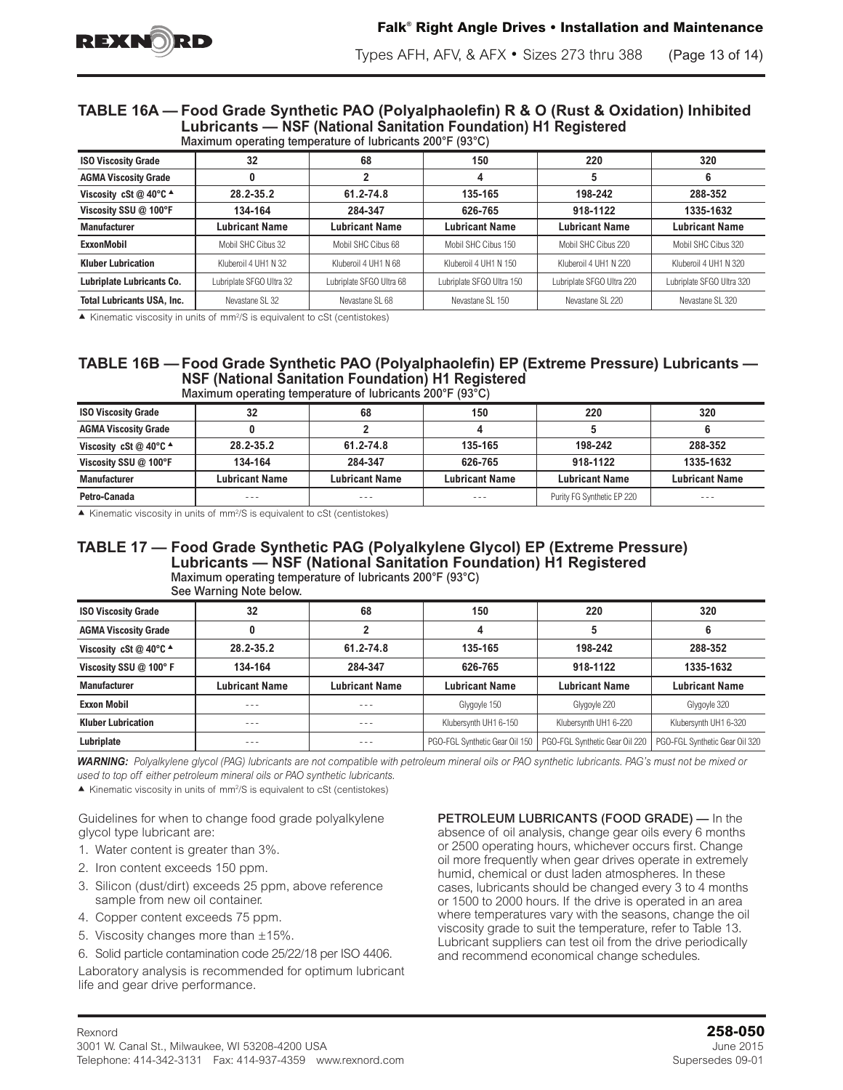

#### **TABLE 16A — Food Grade Synthetic PAO (Polyalphaolefin) R & O (Rust & Oxidation) Inhibited Lubricants — NSF (National Sanitation Foundation) H1 Registered** Maximum operating temperature of lubricants 200°F (93°C)

| <b>ISO Viscosity Grade</b>        | 32                       | 68                       | 150                       | 220                       | 320                       |  |  |
|-----------------------------------|--------------------------|--------------------------|---------------------------|---------------------------|---------------------------|--|--|
| <b>AGMA Viscosity Grade</b>       |                          |                          | л                         |                           |                           |  |  |
| Viscosity cSt @ 40°C ^            | 28.2-35.2                | 61.2-74.8                | 135-165                   | 198-242                   | 288-352                   |  |  |
| Viscosity SSU @ 100°F             | 134-164                  | 284-347                  | 626-765                   | 918-1122                  | 1335-1632                 |  |  |
| <b>Manufacturer</b>               | Lubricant Name           | <b>Lubricant Name</b>    | <b>Lubricant Name</b>     | Lubricant Name            | <b>Lubricant Name</b>     |  |  |
| <b>ExxonMobil</b>                 | Mobil SHC Cibus 32       | Mobil SHC Cibus 68       | Mobil SHC Cibus 150       | Mobil SHC Cibus 220       | Mobil SHC Cibus 320       |  |  |
| <b>Kluber Lubrication</b>         | Kluberoil 4 UH1 N 32     | Kluberoil 4 UH1 N 68     | Kluberoil 4 UH1 N 150     | Kluberoil 4 UH1 N 220     | Kluberoil 4 UH1 N 320     |  |  |
| Lubriplate Lubricants Co.         | Lubriplate SFGO Ultra 32 | Lubriplate SFGO Ultra 68 | Lubriplate SFGO Ultra 150 | Lubriplate SFGO Ultra 220 | Lubriplate SFGO Ultra 320 |  |  |
| <b>Total Lubricants USA. Inc.</b> | Nevastane SL 32          | Nevastane SL 68          | Nevastane SL 150          | Nevastane SL 220          | Nevastane SL 320          |  |  |

 $\blacktriangle$  Kinematic viscosity in units of mm<sup>2</sup>/S is equivalent to cSt (centistokes)

#### **TABLE 16B — Food Grade Synthetic PAO (Polyalphaolefin) EP (Extreme Pressure) Lubricants — NSF (National Sanitation Foundation) H1 Registered** Maximum operating temperature of lubricants 200°F (93°C)

| <b>ISO Viscosity Grade</b>                 | 32             | 68                    | 150                   | 220                        | 320                   |  |  |
|--------------------------------------------|----------------|-----------------------|-----------------------|----------------------------|-----------------------|--|--|
| <b>AGMA Viscosity Grade</b>                |                |                       |                       |                            |                       |  |  |
| Viscosity cSt @ 40 $\degree$ C $\triangle$ | 28.2-35.2      | 61.2-74.8             | 135-165               | 198-242                    | 288-352               |  |  |
| Viscosity SSU @ 100°F                      | 134-164        | 284-347               | 626-765               | 918-1122                   | 1335-1632             |  |  |
| <b>Manufacturer</b>                        | Lubricant Name | <b>Lubricant Name</b> | <b>Lubricant Name</b> | <b>Lubricant Name</b>      | <b>Lubricant Name</b> |  |  |
| Petro-Canada                               | ---            | ---                   | ---                   | Purity FG Synthetic EP 220 | $- - -$               |  |  |

 $\blacktriangle$  Kinematic viscosity in units of mm<sup>2</sup>/S is equivalent to cSt (centistokes)

### **TABLE 17 — Food Grade Synthetic PAG (Polyalkylene Glycol) EP (Extreme Pressure) Lubricants — NSF (National Sanitation Foundation) H1 Registered**

Maximum operating temperature of lubricants 200°F (93°C) See Warning Note below.

| <b>ISO Viscosity Grade</b>                 | 32                    | 68                    | 150                            | 220                            | 320                            |
|--------------------------------------------|-----------------------|-----------------------|--------------------------------|--------------------------------|--------------------------------|
| <b>AGMA Viscosity Grade</b>                |                       |                       |                                |                                |                                |
| Viscosity cSt @ 40 $\degree$ C $\triangle$ | 28.2-35.2             | 61.2-74.8             | 135-165                        | 198-242                        | 288-352                        |
| Viscosity SSU @ 100°F                      | 134-164               | 284-347               | 626-765                        | 918-1122                       | 1335-1632                      |
| <b>Manufacturer</b>                        | <b>Lubricant Name</b> | <b>Lubricant Name</b> | <b>Lubricant Name</b>          | <b>Lubricant Name</b>          | <b>Lubricant Name</b>          |
| <b>Exxon Mobil</b>                         | ---                   | - - -                 | Glygoyle 150                   | Glygoyle 220                   | Glygoyle 320                   |
| <b>Kluber Lubrication</b>                  | ---                   | ---                   | Klubersynth UH1 6-150          | Klubersynth UH1 6-220          | Klubersynth UH1 6-320          |
| Lubriplate                                 |                       |                       | PGO-FGL Synthetic Gear Oil 150 | PGO-FGL Synthetic Gear Oil 220 | PGO-FGL Synthetic Gear Oil 320 |

*WARNING: Polyalkylene glycol (PAG) lubricants are not compatible with petroleum mineral oils or PAO synthetic lubricants. PAG's must not be mixed or used to top off either petroleum mineral oils or PAO synthetic lubricants.* 

 $\blacktriangle$  Kinematic viscosity in units of mm<sup>2</sup>/S is equivalent to cSt (centistokes)

Guidelines for when to change food grade polyalkylene glycol type lubricant are:

- 1. Water content is greater than 3%.
- 2. Iron content exceeds 150 ppm.
- 3. Silicon (dust/dirt) exceeds 25 ppm, above reference sample from new oil container.
- 4. Copper content exceeds 75 ppm.
- 5. Viscosity changes more than  $\pm 15\%$ .
- 6. Solid particle contamination code 25/22/18 per ISO 4406.

Laboratory analysis is recommended for optimum lubricant life and gear drive performance.

PETROLEUM LUBRICANTS (FOOD GRADE) — In the absence of oil analysis, change gear oils every 6 months or 2500 operating hours, whichever occurs first. Change oil more frequently when gear drives operate in extremely humid, chemical or dust laden atmospheres. In these cases, lubricants should be changed every 3 to 4 months or 1500 to 2000 hours. If the drive is operated in an area where temperatures vary with the seasons, change the oil viscosity grade to suit the temperature, refer to Table 13. Lubricant suppliers can test oil from the drive periodically and recommend economical change schedules.